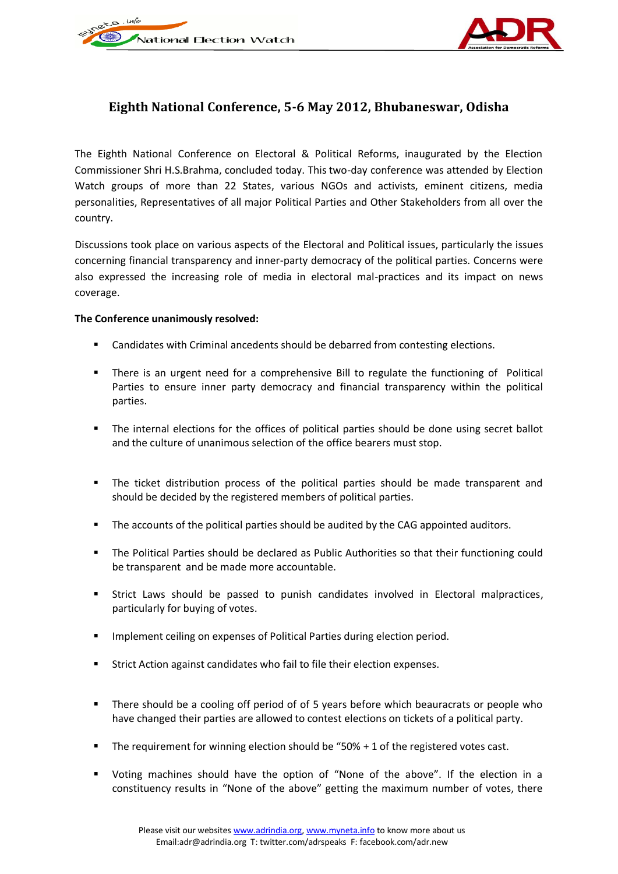



## **Eighth National Conference, 5-6 May 2012, Bhubaneswar, Odisha**

The Eighth National Conference on Electoral & Political Reforms, inaugurated by the Election Commissioner Shri H.S.Brahma, concluded today. This two-day conference was attended by Election Watch groups of more than 22 States, various NGOs and activists, eminent citizens, media personalities, Representatives of all major Political Parties and Other Stakeholders from all over the country.

Discussions took place on various aspects of the Electoral and Political issues, particularly the issues concerning financial transparency and inner-party democracy of the political parties. Concerns were also expressed the increasing role of media in electoral mal-practices and its impact on news coverage.

## **The Conference unanimously resolved:**

- Candidates with Criminal ancedents should be debarred from contesting elections.
- There is an urgent need for a comprehensive Bill to regulate the functioning of Political Parties to ensure inner party democracy and financial transparency within the political parties.
- The internal elections for the offices of political parties should be done using secret ballot and the culture of unanimous selection of the office bearers must stop.
- The ticket distribution process of the political parties should be made transparent and should be decided by the registered members of political parties.
- The accounts of the political parties should be audited by the CAG appointed auditors.
- The Political Parties should be declared as Public Authorities so that their functioning could be transparent and be made more accountable.
- Strict Laws should be passed to punish candidates involved in Electoral malpractices, particularly for buying of votes.
- **IMPLEMENTED IMPLEM** 1mplement ceiling on expenses of Political Parties during election period.
- Strict Action against candidates who fail to file their election expenses.
- There should be a cooling off period of of 5 years before which beauracrats or people who have changed their parties are allowed to contest elections on tickets of a political party.
- The requirement for winning election should be "50% + 1 of the registered votes cast.
- Voting machines should have the option of "None of the above". If the election in a constituency results in "None of the above" getting the maximum number of votes, there